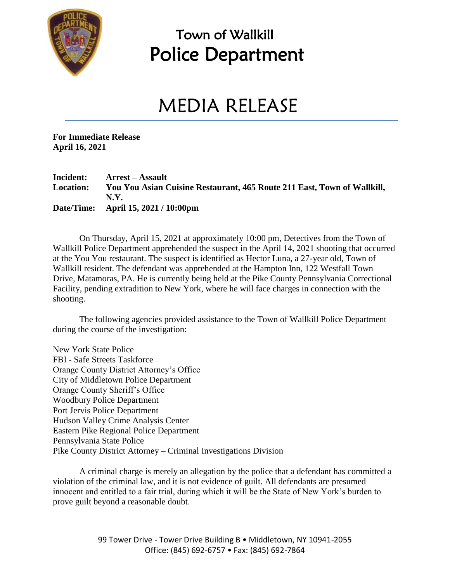

### Town of Wallkill Police Department

## MEDIA RELEASE

**For Immediate Release April 16, 2021**

#### **Incident: Arrest – Assault Location: You You Asian Cuisine Restaurant, 465 Route 211 East, Town of Wallkill, N.Y. Date/Time: April 15, 2021 / 10:00pm**

On Thursday, April 15, 2021 at approximately 10:00 pm, Detectives from the Town of Wallkill Police Department apprehended the suspect in the April 14, 2021 shooting that occurred at the You You restaurant. The suspect is identified as Hector Luna, a 27-year old, Town of Wallkill resident. The defendant was apprehended at the Hampton Inn, 122 Westfall Town Drive, Matamoras, PA. He is currently being held at the Pike County Pennsylvania Correctional Facility, pending extradition to New York, where he will face charges in connection with the shooting.

The following agencies provided assistance to the Town of Wallkill Police Department during the course of the investigation:

New York State Police FBI - Safe Streets Taskforce Orange County District Attorney's Office City of Middletown Police Department Orange County Sheriff's Office Woodbury Police Department Port Jervis Police Department Hudson Valley Crime Analysis Center Eastern Pike Regional Police Department Pennsylvania State Police Pike County District Attorney – Criminal Investigations Division

A criminal charge is merely an allegation by the police that a defendant has committed a violation of the criminal law, and it is not evidence of guilt. All defendants are presumed innocent and entitled to a fair trial, during which it will be the State of New York's burden to prove guilt beyond a reasonable doubt.

> 99 Tower Drive - Tower Drive Building B · Middletown, NY 10941-2055 Office: (845) 692-6757 • Fax: (845) 692-7864